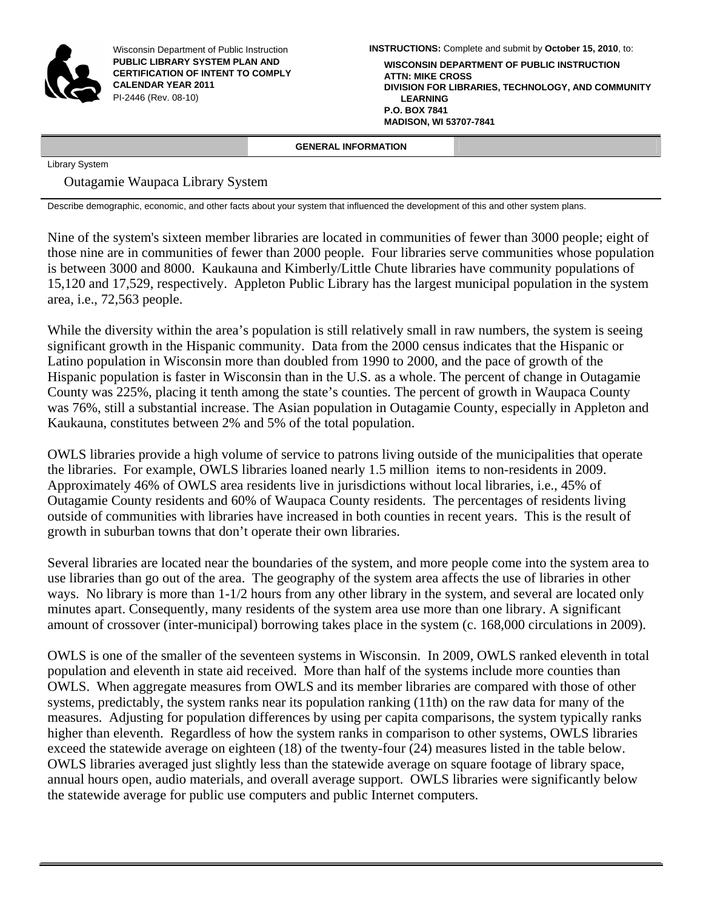

Wisconsin Department of Public Instruction **PUBLIC LIBRARY SYSTEM PLAN AND CERTIFICATION OF INTENT TO COMPLY CALENDAR YEAR 2011**  PI-2446 (Rev. 08-10)

**INSTRUCTIONS:** Complete and submit by **October 15, 2010**, to: **WISCONSIN DEPARTMENT OF PUBLIC INSTRUCTION ATTN: MIKE CROSS DIVISION FOR LIBRARIES, TECHNOLOGY, AND COMMUNITY LEARNING P.O. BOX 7841 MADISON, WI 53707-7841**

#### **GENERAL INFORMATION**

Library System

### Outagamie Waupaca Library System

Describe demographic, economic, and other facts about your system that influenced the development of this and other system plans.

Nine of the system's sixteen member libraries are located in communities of fewer than 3000 people; eight of those nine are in communities of fewer than 2000 people. Four libraries serve communities whose population is between 3000 and 8000. Kaukauna and Kimberly/Little Chute libraries have community populations of 15,120 and 17,529, respectively. Appleton Public Library has the largest municipal population in the system area, i.e., 72,563 people.

While the diversity within the area's population is still relatively small in raw numbers, the system is seeing significant growth in the Hispanic community. Data from the 2000 census indicates that the Hispanic or Latino population in Wisconsin more than doubled from 1990 to 2000, and the pace of growth of the Hispanic population is faster in Wisconsin than in the U.S. as a whole. The percent of change in Outagamie County was 225%, placing it tenth among the state's counties. The percent of growth in Waupaca County was 76%, still a substantial increase. The Asian population in Outagamie County, especially in Appleton and Kaukauna, constitutes between 2% and 5% of the total population.

OWLS libraries provide a high volume of service to patrons living outside of the municipalities that operate the libraries. For example, OWLS libraries loaned nearly 1.5 million items to non-residents in 2009. Approximately 46% of OWLS area residents live in jurisdictions without local libraries, i.e., 45% of Outagamie County residents and 60% of Waupaca County residents. The percentages of residents living outside of communities with libraries have increased in both counties in recent years. This is the result of growth in suburban towns that don't operate their own libraries.

Several libraries are located near the boundaries of the system, and more people come into the system area to use libraries than go out of the area. The geography of the system area affects the use of libraries in other ways. No library is more than 1-1/2 hours from any other library in the system, and several are located only minutes apart. Consequently, many residents of the system area use more than one library. A significant amount of crossover (inter-municipal) borrowing takes place in the system (c. 168,000 circulations in 2009).

OWLS is one of the smaller of the seventeen systems in Wisconsin. In 2009, OWLS ranked eleventh in total population and eleventh in state aid received. More than half of the systems include more counties than OWLS. When aggregate measures from OWLS and its member libraries are compared with those of other systems, predictably, the system ranks near its population ranking (11th) on the raw data for many of the measures. Adjusting for population differences by using per capita comparisons, the system typically ranks higher than eleventh. Regardless of how the system ranks in comparison to other systems, OWLS libraries exceed the statewide average on eighteen (18) of the twenty-four (24) measures listed in the table below. OWLS libraries averaged just slightly less than the statewide average on square footage of library space, annual hours open, audio materials, and overall average support. OWLS libraries were significantly below the statewide average for public use computers and public Internet computers.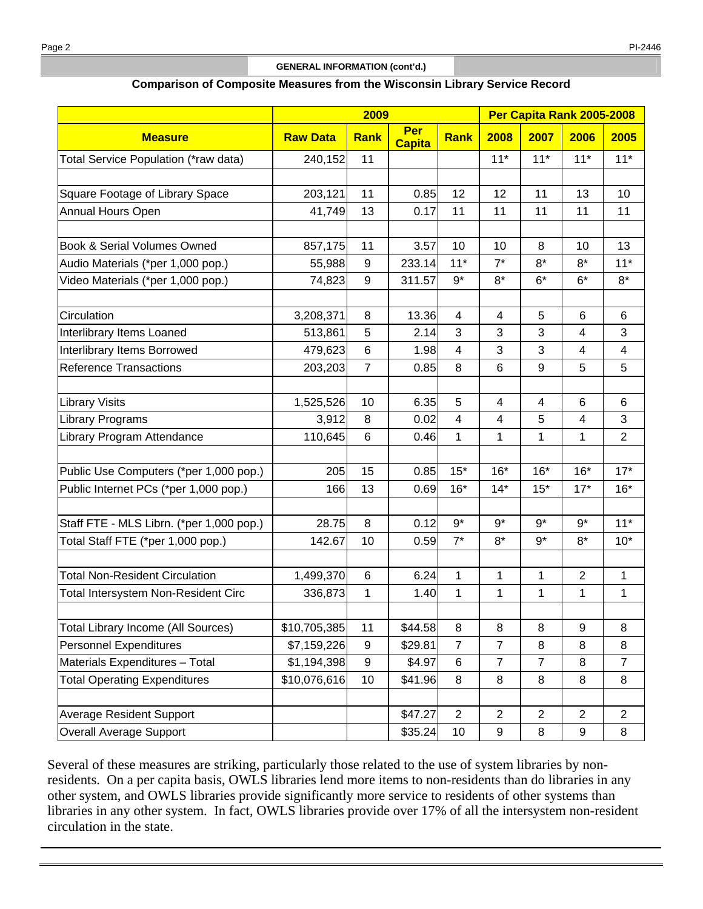#### **GENERAL INFORMATION (cont'd.)**

#### **Comparison of Composite Measures from the Wisconsin Library Service Record**

|                                           | 2009            |                |                      |                | Per Capita Rank 2005-2008 |                |                |                |
|-------------------------------------------|-----------------|----------------|----------------------|----------------|---------------------------|----------------|----------------|----------------|
| <b>Measure</b>                            | <b>Raw Data</b> | <b>Rank</b>    | Per<br><b>Capita</b> | <b>Rank</b>    | 2008                      | 2007           | 2006           | 2005           |
| Total Service Population (*raw data)      | 240,152         | 11             |                      |                | $11*$                     | $11*$          | $11*$          | $11*$          |
|                                           |                 |                |                      |                |                           |                |                |                |
| Square Footage of Library Space           | 203,121         | 11             | 0.85                 | 12             | 12                        | 11             | 13             | 10             |
| Annual Hours Open                         | 41,749          | 13             | 0.17                 | 11             | 11                        | 11             | 11             | 11             |
|                                           |                 |                |                      |                |                           |                |                |                |
| <b>Book &amp; Serial Volumes Owned</b>    | 857,175         | 11             | 3.57                 | 10             | 10                        | 8              | 10             | 13             |
| Audio Materials (*per 1,000 pop.)         | 55,988          | 9              | 233.14               | $11*$          | $7^*$                     | $8*$           | $8*$           | $11*$          |
| Video Materials (*per 1,000 pop.)         | 74,823          | 9              | 311.57               | $9*$           | $8*$                      | $6*$           | $6*$           | $8*$           |
|                                           |                 |                |                      |                |                           |                |                |                |
| Circulation                               | 3,208,371       | 8              | 13.36                | $\overline{4}$ | $\overline{4}$            | 5              | $6\phantom{1}$ | 6              |
| Interlibrary Items Loaned                 | 513,861         | 5              | 2.14                 | 3              | 3                         | 3              | $\overline{4}$ | 3              |
| Interlibrary Items Borrowed               | 479,623         | 6              | 1.98                 | 4              | 3                         | 3              | 4              | 4              |
| <b>Reference Transactions</b>             | 203,203         | $\overline{7}$ | 0.85                 | 8              | 6                         | 9              | 5              | 5              |
|                                           |                 |                |                      |                |                           |                |                |                |
| <b>Library Visits</b>                     | 1,525,526       | 10             | 6.35                 | 5              | 4                         | 4              | 6              | 6              |
| <b>Library Programs</b>                   | 3,912           | 8              | 0.02                 | $\overline{4}$ | $\overline{4}$            | 5              | $\overline{4}$ | 3              |
| Library Program Attendance                | 110,645         | 6              | 0.46                 | $\mathbf{1}$   | 1                         | 1              | 1              | $\overline{2}$ |
|                                           |                 |                |                      |                |                           |                |                |                |
| Public Use Computers (*per 1,000 pop.)    | 205             | 15             | 0.85                 | $15*$          | $16*$                     | $16*$          | $16*$          | $17*$          |
| Public Internet PCs (*per 1,000 pop.)     | 166             | 13             | 0.69                 | $16*$          | $14*$                     | $15*$          | $17*$          | $16*$          |
| Staff FTE - MLS Librn. (*per 1,000 pop.)  | 28.75           | 8              | 0.12                 | $9*$           | $9*$                      | $9*$           | 9*             | $11*$          |
| Total Staff FTE (*per 1,000 pop.)         | 142.67          | 10             | 0.59                 | $7^*$          | $8*$                      | $9*$           | $8*$           | $10*$          |
|                                           |                 |                |                      |                |                           |                |                |                |
| <b>Total Non-Resident Circulation</b>     | 1,499,370       | 6              | 6.24                 | 1              | 1                         | 1              | $\overline{2}$ | 1              |
| Total Intersystem Non-Resident Circ       | 336,873         | 1              | 1.40                 | 1              | 1                         | 1              | 1              | 1              |
|                                           |                 |                |                      |                |                           |                |                |                |
| <b>Total Library Income (All Sources)</b> | \$10,705,385    | 11             | \$44.58              | 8              | 8                         | 8              | 9              | 8              |
| <b>Personnel Expenditures</b>             | \$7,159,226     | 9              | \$29.81              | $\overline{7}$ | $\overline{7}$            | 8              | 8              | 8              |
| Materials Expenditures - Total            | \$1,194,398     | 9              | \$4.97               | 6              | $\overline{7}$            | $\overline{7}$ | 8              | $\overline{7}$ |
| <b>Total Operating Expenditures</b>       | \$10,076,616    | 10             | \$41.96              | 8              | 8                         | 8              | 8              | 8              |
|                                           |                 |                |                      |                |                           |                |                |                |
| <b>Average Resident Support</b>           |                 |                | \$47.27              | $\overline{2}$ | $\overline{2}$            | $\overline{c}$ | $\overline{2}$ | $\overline{2}$ |
| Overall Average Support                   |                 |                | \$35.24              | 10             | 9                         | 8              | 9              | 8              |

Several of these measures are striking, particularly those related to the use of system libraries by nonresidents. On a per capita basis, OWLS libraries lend more items to non-residents than do libraries in any other system, and OWLS libraries provide significantly more service to residents of other systems than libraries in any other system. In fact, OWLS libraries provide over 17% of all the intersystem non-resident circulation in the state.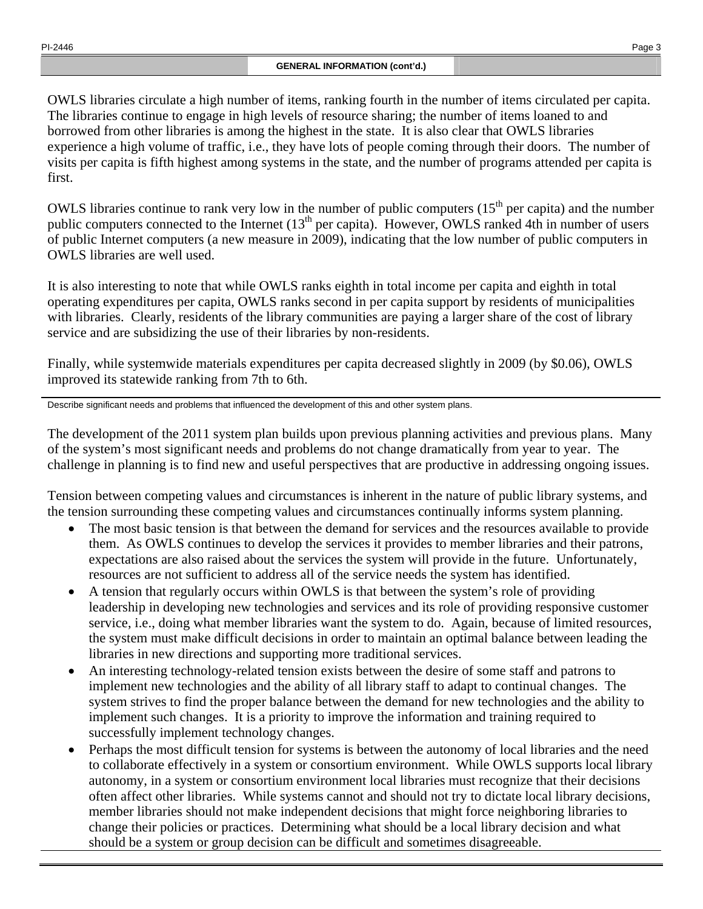OWLS libraries circulate a high number of items, ranking fourth in the number of items circulated per capita. The libraries continue to engage in high levels of resource sharing; the number of items loaned to and borrowed from other libraries is among the highest in the state. It is also clear that OWLS libraries experience a high volume of traffic, i.e., they have lots of people coming through their doors. The number of visits per capita is fifth highest among systems in the state, and the number of programs attended per capita is first.

OWLS libraries continue to rank very low in the number of public computers  $(15<sup>th</sup>$  per capita) and the number public computers connected to the Internet (13<sup>th</sup> per capita). However, OWLS ranked 4th in number of users of public Internet computers (a new measure in 2009), indicating that the low number of public computers in OWLS libraries are well used.

It is also interesting to note that while OWLS ranks eighth in total income per capita and eighth in total operating expenditures per capita, OWLS ranks second in per capita support by residents of municipalities with libraries. Clearly, residents of the library communities are paying a larger share of the cost of library service and are subsidizing the use of their libraries by non-residents.

Finally, while systemwide materials expenditures per capita decreased slightly in 2009 (by \$0.06), OWLS improved its statewide ranking from 7th to 6th.

Describe significant needs and problems that influenced the development of this and other system plans.

The development of the 2011 system plan builds upon previous planning activities and previous plans. Many of the system's most significant needs and problems do not change dramatically from year to year. The challenge in planning is to find new and useful perspectives that are productive in addressing ongoing issues.

Tension between competing values and circumstances is inherent in the nature of public library systems, and the tension surrounding these competing values and circumstances continually informs system planning.

- The most basic tension is that between the demand for services and the resources available to provide them. As OWLS continues to develop the services it provides to member libraries and their patrons, expectations are also raised about the services the system will provide in the future. Unfortunately, resources are not sufficient to address all of the service needs the system has identified.
- A tension that regularly occurs within OWLS is that between the system's role of providing leadership in developing new technologies and services and its role of providing responsive customer service, i.e., doing what member libraries want the system to do. Again, because of limited resources, the system must make difficult decisions in order to maintain an optimal balance between leading the libraries in new directions and supporting more traditional services.
- An interesting technology-related tension exists between the desire of some staff and patrons to implement new technologies and the ability of all library staff to adapt to continual changes. The system strives to find the proper balance between the demand for new technologies and the ability to implement such changes. It is a priority to improve the information and training required to successfully implement technology changes.
- Perhaps the most difficult tension for systems is between the autonomy of local libraries and the need to collaborate effectively in a system or consortium environment. While OWLS supports local library autonomy, in a system or consortium environment local libraries must recognize that their decisions often affect other libraries. While systems cannot and should not try to dictate local library decisions, member libraries should not make independent decisions that might force neighboring libraries to change their policies or practices. Determining what should be a local library decision and what should be a system or group decision can be difficult and sometimes disagreeable.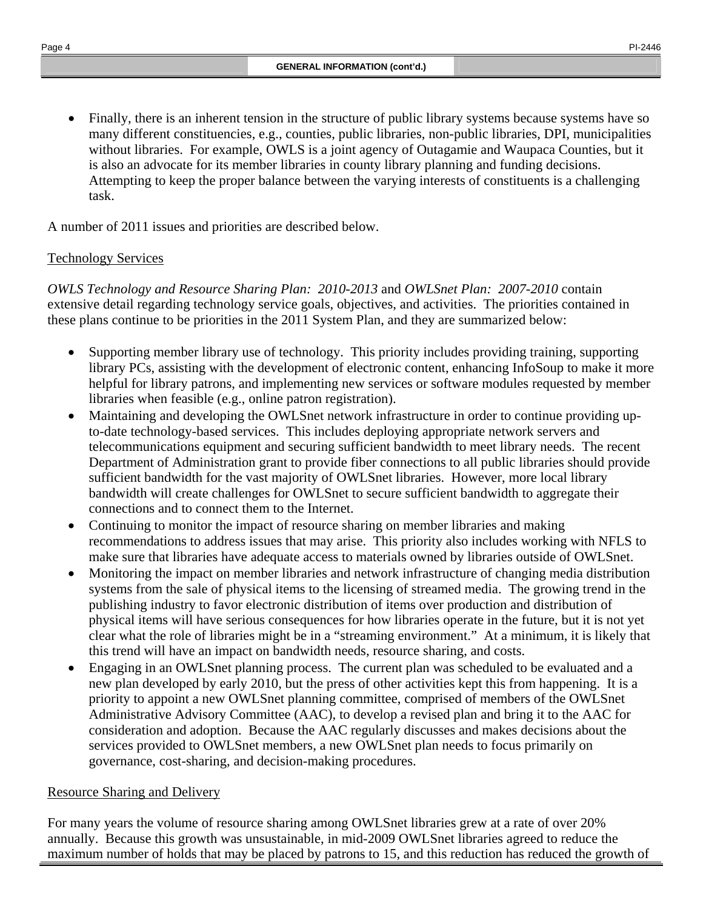• Finally, there is an inherent tension in the structure of public library systems because systems have so many different constituencies, e.g., counties, public libraries, non-public libraries, DPI, municipalities without libraries. For example, OWLS is a joint agency of Outagamie and Waupaca Counties, but it is also an advocate for its member libraries in county library planning and funding decisions. Attempting to keep the proper balance between the varying interests of constituents is a challenging task.

A number of 2011 issues and priorities are described below.

# Technology Services

*OWLS Technology and Resource Sharing Plan: 2010-2013* and *OWLSnet Plan: 2007-2010* contain extensive detail regarding technology service goals, objectives, and activities. The priorities contained in these plans continue to be priorities in the 2011 System Plan, and they are summarized below:

- Supporting member library use of technology. This priority includes providing training, supporting library PCs, assisting with the development of electronic content, enhancing InfoSoup to make it more helpful for library patrons, and implementing new services or software modules requested by member libraries when feasible (e.g., online patron registration).
- Maintaining and developing the OWLSnet network infrastructure in order to continue providing upto-date technology-based services. This includes deploying appropriate network servers and telecommunications equipment and securing sufficient bandwidth to meet library needs. The recent Department of Administration grant to provide fiber connections to all public libraries should provide sufficient bandwidth for the vast majority of OWLSnet libraries. However, more local library bandwidth will create challenges for OWLSnet to secure sufficient bandwidth to aggregate their connections and to connect them to the Internet.
- Continuing to monitor the impact of resource sharing on member libraries and making recommendations to address issues that may arise. This priority also includes working with NFLS to make sure that libraries have adequate access to materials owned by libraries outside of OWLSnet.
- Monitoring the impact on member libraries and network infrastructure of changing media distribution systems from the sale of physical items to the licensing of streamed media. The growing trend in the publishing industry to favor electronic distribution of items over production and distribution of physical items will have serious consequences for how libraries operate in the future, but it is not yet clear what the role of libraries might be in a "streaming environment." At a minimum, it is likely that this trend will have an impact on bandwidth needs, resource sharing, and costs.
- Engaging in an OWLSnet planning process. The current plan was scheduled to be evaluated and a new plan developed by early 2010, but the press of other activities kept this from happening. It is a priority to appoint a new OWLSnet planning committee, comprised of members of the OWLSnet Administrative Advisory Committee (AAC), to develop a revised plan and bring it to the AAC for consideration and adoption. Because the AAC regularly discusses and makes decisions about the services provided to OWLSnet members, a new OWLSnet plan needs to focus primarily on governance, cost-sharing, and decision-making procedures.

# Resource Sharing and Delivery

For many years the volume of resource sharing among OWLSnet libraries grew at a rate of over 20% annually. Because this growth was unsustainable, in mid-2009 OWLSnet libraries agreed to reduce the maximum number of holds that may be placed by patrons to 15, and this reduction has reduced the growth of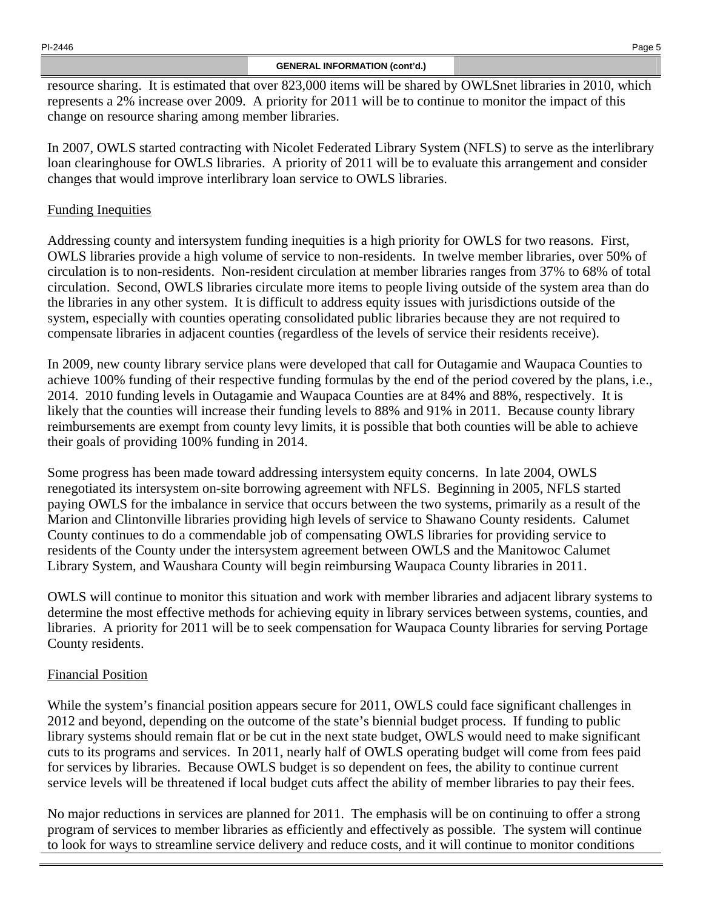#### **GENERAL INFORMATION (cont'd.)**

resource sharing. It is estimated that over 823,000 items will be shared by OWLSnet libraries in 2010, which represents a 2% increase over 2009. A priority for 2011 will be to continue to monitor the impact of this change on resource sharing among member libraries.

In 2007, OWLS started contracting with Nicolet Federated Library System (NFLS) to serve as the interlibrary loan clearinghouse for OWLS libraries. A priority of 2011 will be to evaluate this arrangement and consider changes that would improve interlibrary loan service to OWLS libraries.

### Funding Inequities

Addressing county and intersystem funding inequities is a high priority for OWLS for two reasons. First, OWLS libraries provide a high volume of service to non-residents. In twelve member libraries, over 50% of circulation is to non-residents. Non-resident circulation at member libraries ranges from 37% to 68% of total circulation. Second, OWLS libraries circulate more items to people living outside of the system area than do the libraries in any other system. It is difficult to address equity issues with jurisdictions outside of the system, especially with counties operating consolidated public libraries because they are not required to compensate libraries in adjacent counties (regardless of the levels of service their residents receive).

In 2009, new county library service plans were developed that call for Outagamie and Waupaca Counties to achieve 100% funding of their respective funding formulas by the end of the period covered by the plans, i.e., 2014. 2010 funding levels in Outagamie and Waupaca Counties are at 84% and 88%, respectively. It is likely that the counties will increase their funding levels to 88% and 91% in 2011. Because county library reimbursements are exempt from county levy limits, it is possible that both counties will be able to achieve their goals of providing 100% funding in 2014.

Some progress has been made toward addressing intersystem equity concerns. In late 2004, OWLS renegotiated its intersystem on-site borrowing agreement with NFLS. Beginning in 2005, NFLS started paying OWLS for the imbalance in service that occurs between the two systems, primarily as a result of the Marion and Clintonville libraries providing high levels of service to Shawano County residents. Calumet County continues to do a commendable job of compensating OWLS libraries for providing service to residents of the County under the intersystem agreement between OWLS and the Manitowoc Calumet Library System, and Waushara County will begin reimbursing Waupaca County libraries in 2011.

OWLS will continue to monitor this situation and work with member libraries and adjacent library systems to determine the most effective methods for achieving equity in library services between systems, counties, and libraries. A priority for 2011 will be to seek compensation for Waupaca County libraries for serving Portage County residents.

## Financial Position

While the system's financial position appears secure for 2011, OWLS could face significant challenges in 2012 and beyond, depending on the outcome of the state's biennial budget process. If funding to public library systems should remain flat or be cut in the next state budget, OWLS would need to make significant cuts to its programs and services. In 2011, nearly half of OWLS operating budget will come from fees paid for services by libraries. Because OWLS budget is so dependent on fees, the ability to continue current service levels will be threatened if local budget cuts affect the ability of member libraries to pay their fees.

No major reductions in services are planned for 2011. The emphasis will be on continuing to offer a strong program of services to member libraries as efficiently and effectively as possible. The system will continue to look for ways to streamline service delivery and reduce costs, and it will continue to monitor conditions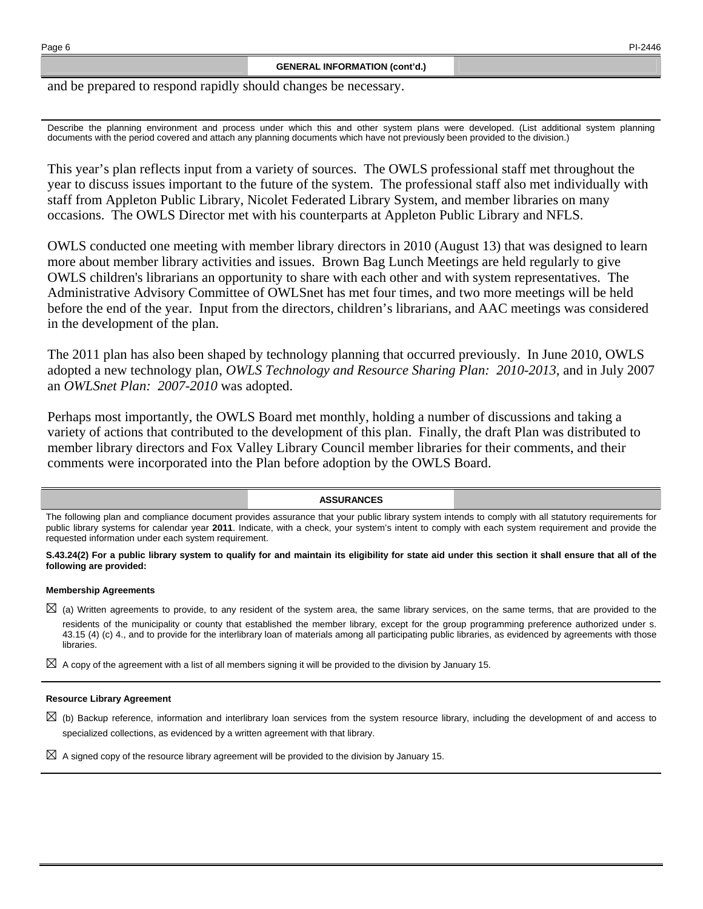and be prepared to respond rapidly should changes be necessary.

Describe the planning environment and process under which this and other system plans were developed. (List additional system planning documents with the period covered and attach any planning documents which have not previously been provided to the division.)

This year's plan reflects input from a variety of sources. The OWLS professional staff met throughout the year to discuss issues important to the future of the system. The professional staff also met individually with staff from Appleton Public Library, Nicolet Federated Library System, and member libraries on many occasions. The OWLS Director met with his counterparts at Appleton Public Library and NFLS.

OWLS conducted one meeting with member library directors in 2010 (August 13) that was designed to learn more about member library activities and issues. Brown Bag Lunch Meetings are held regularly to give OWLS children's librarians an opportunity to share with each other and with system representatives. The Administrative Advisory Committee of OWLSnet has met four times, and two more meetings will be held before the end of the year. Input from the directors, children's librarians, and AAC meetings was considered in the development of the plan.

The 2011 plan has also been shaped by technology planning that occurred previously. In June 2010, OWLS adopted a new technology plan, *OWLS Technology and Resource Sharing Plan: 2010-2013*, and in July 2007 an *OWLSnet Plan: 2007-2010* was adopted.

Perhaps most importantly, the OWLS Board met monthly, holding a number of discussions and taking a variety of actions that contributed to the development of this plan. Finally, the draft Plan was distributed to member library directors and Fox Valley Library Council member libraries for their comments, and their comments were incorporated into the Plan before adoption by the OWLS Board.

#### **ASSURANCES**

The following plan and compliance document provides assurance that your public library system intends to comply with all statutory requirements for public library systems for calendar year **2011**. Indicate, with a check, your system's intent to comply with each system requirement and provide the requested information under each system requirement.

**S.43.24(2) For a public library system to qualify for and maintain its eligibility for state aid under this section it shall ensure that all of the following are provided:** 

#### **Membership Agreements**

⊠ (a) Written agreements to provide, to any resident of the system area, the same library services, on the same terms, that are provided to the residents of the municipality or county that established the member library, except for the group programming preference authorized under s. 43.15 (4) (c) 4., and to provide for the interlibrary loan of materials among all participating public libraries, as evidenced by agreements with those libraries.

⊠ A copy of the agreement with a list of all members signing it will be provided to the division by January 15.

#### **Resource Library Agreement**

⊠ (b) Backup reference, information and interlibrary loan services from the system resource library, including the development of and access to specialized collections, as evidenced by a written agreement with that library.

 $\boxtimes$  A signed copy of the resource library agreement will be provided to the division by January 15.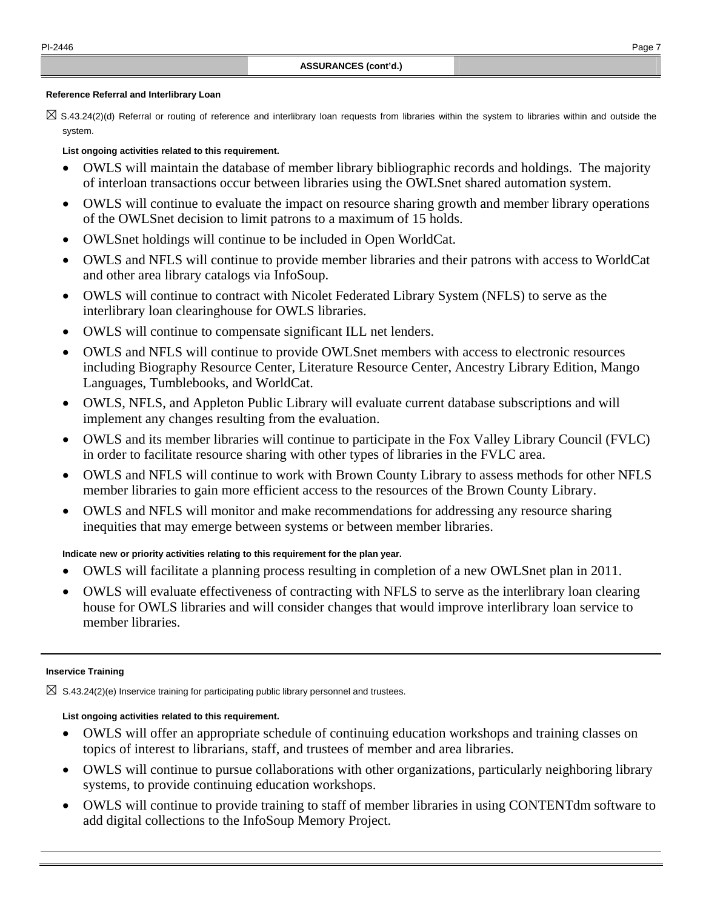#### **Reference Referral and Interlibrary Loan**

⊠ S.43.24(2)(d) Referral or routing of reference and interlibrary loan requests from libraries within the system to libraries within and outside the system.

#### **List ongoing activities related to this requirement.**

- OWLS will maintain the database of member library bibliographic records and holdings. The majority of interloan transactions occur between libraries using the OWLSnet shared automation system.
- OWLS will continue to evaluate the impact on resource sharing growth and member library operations of the OWLSnet decision to limit patrons to a maximum of 15 holds.
- OWLSnet holdings will continue to be included in Open WorldCat.
- OWLS and NFLS will continue to provide member libraries and their patrons with access to WorldCat and other area library catalogs via InfoSoup.
- OWLS will continue to contract with Nicolet Federated Library System (NFLS) to serve as the interlibrary loan clearinghouse for OWLS libraries.
- OWLS will continue to compensate significant ILL net lenders.
- OWLS and NFLS will continue to provide OWLSnet members with access to electronic resources including Biography Resource Center, Literature Resource Center, Ancestry Library Edition, Mango Languages, Tumblebooks, and WorldCat.
- OWLS, NFLS, and Appleton Public Library will evaluate current database subscriptions and will implement any changes resulting from the evaluation.
- OWLS and its member libraries will continue to participate in the Fox Valley Library Council (FVLC) in order to facilitate resource sharing with other types of libraries in the FVLC area.
- OWLS and NFLS will continue to work with Brown County Library to assess methods for other NFLS member libraries to gain more efficient access to the resources of the Brown County Library.
- OWLS and NFLS will monitor and make recommendations for addressing any resource sharing inequities that may emerge between systems or between member libraries.

#### **Indicate new or priority activities relating to this requirement for the plan year.**

- OWLS will facilitate a planning process resulting in completion of a new OWLSnet plan in 2011.
- OWLS will evaluate effectiveness of contracting with NFLS to serve as the interlibrary loan clearing house for OWLS libraries and will consider changes that would improve interlibrary loan service to member libraries.

#### **Inservice Training**

 $\boxtimes$  S.43.24(2)(e) Inservice training for participating public library personnel and trustees.

#### **List ongoing activities related to this requirement.**

- OWLS will offer an appropriate schedule of continuing education workshops and training classes on topics of interest to librarians, staff, and trustees of member and area libraries.
- OWLS will continue to pursue collaborations with other organizations, particularly neighboring library systems, to provide continuing education workshops.
- OWLS will continue to provide training to staff of member libraries in using CONTENTdm software to add digital collections to the InfoSoup Memory Project.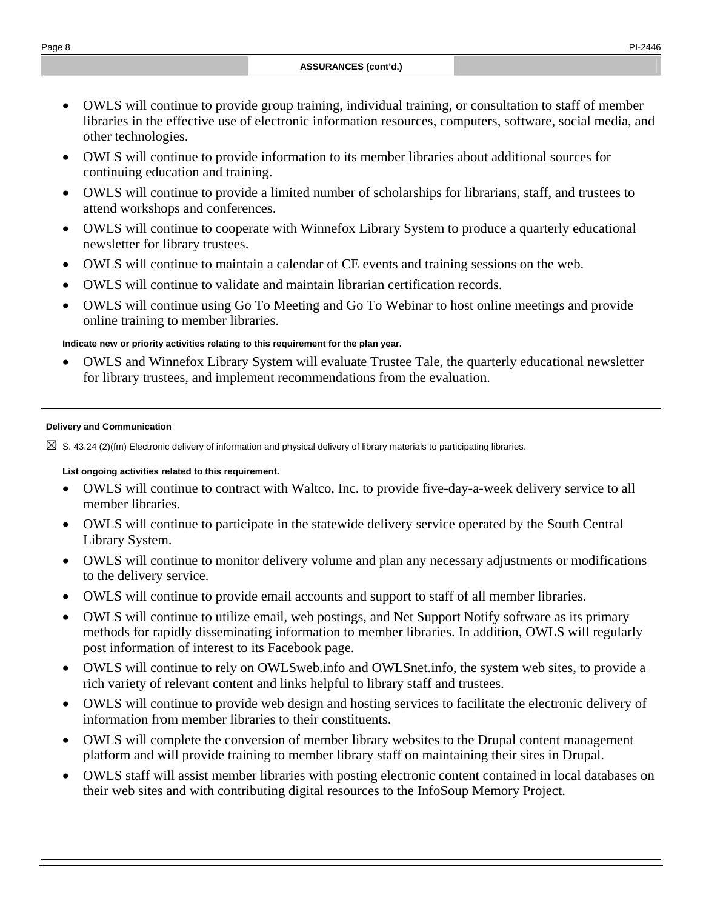- OWLS will continue to provide group training, individual training, or consultation to staff of member libraries in the effective use of electronic information resources, computers, software, social media, and other technologies.
- OWLS will continue to provide information to its member libraries about additional sources for continuing education and training.
- OWLS will continue to provide a limited number of scholarships for librarians, staff, and trustees to attend workshops and conferences.
- OWLS will continue to cooperate with Winnefox Library System to produce a quarterly educational newsletter for library trustees.
- OWLS will continue to maintain a calendar of CE events and training sessions on the web.
- OWLS will continue to validate and maintain librarian certification records.
- OWLS will continue using Go To Meeting and Go To Webinar to host online meetings and provide online training to member libraries.

### **Indicate new or priority activities relating to this requirement for the plan year.**

• OWLS and Winnefox Library System will evaluate Trustee Tale, the quarterly educational newsletter for library trustees, and implement recommendations from the evaluation.

#### **Delivery and Communication**

 $\boxtimes$  S. 43.24 (2)(fm) Electronic delivery of information and physical delivery of library materials to participating libraries.

### **List ongoing activities related to this requirement.**

- OWLS will continue to contract with Waltco, Inc. to provide five-day-a-week delivery service to all member libraries.
- OWLS will continue to participate in the statewide delivery service operated by the South Central Library System.
- OWLS will continue to monitor delivery volume and plan any necessary adjustments or modifications to the delivery service.
- OWLS will continue to provide email accounts and support to staff of all member libraries.
- OWLS will continue to utilize email, web postings, and Net Support Notify software as its primary methods for rapidly disseminating information to member libraries. In addition, OWLS will regularly post information of interest to its Facebook page.
- OWLS will continue to rely on OWLSweb.info and OWLSnet.info, the system web sites, to provide a rich variety of relevant content and links helpful to library staff and trustees.
- OWLS will continue to provide web design and hosting services to facilitate the electronic delivery of information from member libraries to their constituents.
- OWLS will complete the conversion of member library websites to the Drupal content management platform and will provide training to member library staff on maintaining their sites in Drupal.
- OWLS staff will assist member libraries with posting electronic content contained in local databases on their web sites and with contributing digital resources to the InfoSoup Memory Project.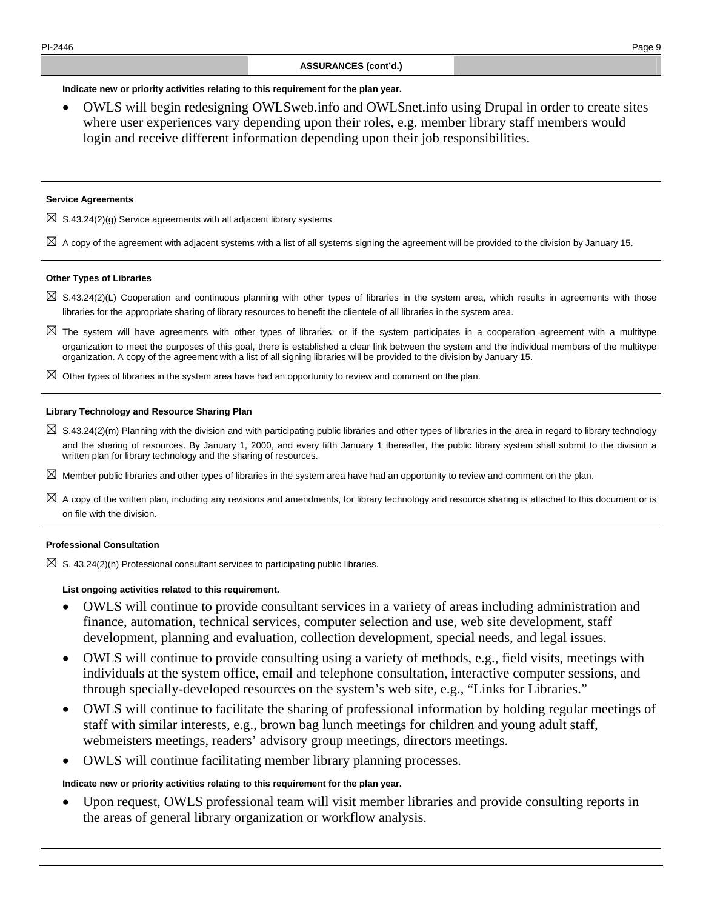#### **Indicate new or priority activities relating to this requirement for the plan year.**

• OWLS will begin redesigning OWLSweb.info and OWLSnet.info using Drupal in order to create sites where user experiences vary depending upon their roles, e.g. member library staff members would login and receive different information depending upon their job responsibilities.

#### **Service Agreements**

 $\boxtimes$  S.43.24(2)(g) Service agreements with all adjacent library systems

 $\boxtimes$  A copy of the agreement with adjacent systems with a list of all systems signing the agreement will be provided to the division by January 15.

#### **Other Types of Libraries**

- ⊠ S.43.24(2)(L) Cooperation and continuous planning with other types of libraries in the system area, which results in agreements with those libraries for the appropriate sharing of library resources to benefit the clientele of all libraries in the system area.
- ⊠ The system will have agreements with other types of libraries, or if the system participates in a cooperation agreement with a multitype organization to meet the purposes of this goal, there is established a clear link between the system and the individual members of the multitype organization. A copy of the agreement with a list of all signing libraries will be provided to the division by January 15.
- ⊠ Other types of libraries in the system area have had an opportunity to review and comment on the plan.

#### **Library Technology and Resource Sharing Plan**

- ⊠ S.43.24(2)(m) Planning with the division and with participating public libraries and other types of libraries in the area in regard to library technology and the sharing of resources. By January 1, 2000, and every fifth January 1 thereafter, the public library system shall submit to the division a written plan for library technology and the sharing of resources.
- ⊠ Member public libraries and other types of libraries in the system area have had an opportunity to review and comment on the plan.
- ⊠ A copy of the written plan, including any revisions and amendments, for library technology and resource sharing is attached to this document or is on file with the division.

#### **Professional Consultation**

 $\boxtimes$  S. 43.24(2)(h) Professional consultant services to participating public libraries.

#### **List ongoing activities related to this requirement.**

- OWLS will continue to provide consultant services in a variety of areas including administration and finance, automation, technical services, computer selection and use, web site development, staff development, planning and evaluation, collection development, special needs, and legal issues.
- OWLS will continue to provide consulting using a variety of methods, e.g., field visits, meetings with individuals at the system office, email and telephone consultation, interactive computer sessions, and through specially-developed resources on the system's web site, e.g., "Links for Libraries."
- OWLS will continue to facilitate the sharing of professional information by holding regular meetings of staff with similar interests, e.g., brown bag lunch meetings for children and young adult staff, webmeisters meetings, readers' advisory group meetings, directors meetings.
- OWLS will continue facilitating member library planning processes.

#### **Indicate new or priority activities relating to this requirement for the plan year.**

• Upon request, OWLS professional team will visit member libraries and provide consulting reports in the areas of general library organization or workflow analysis.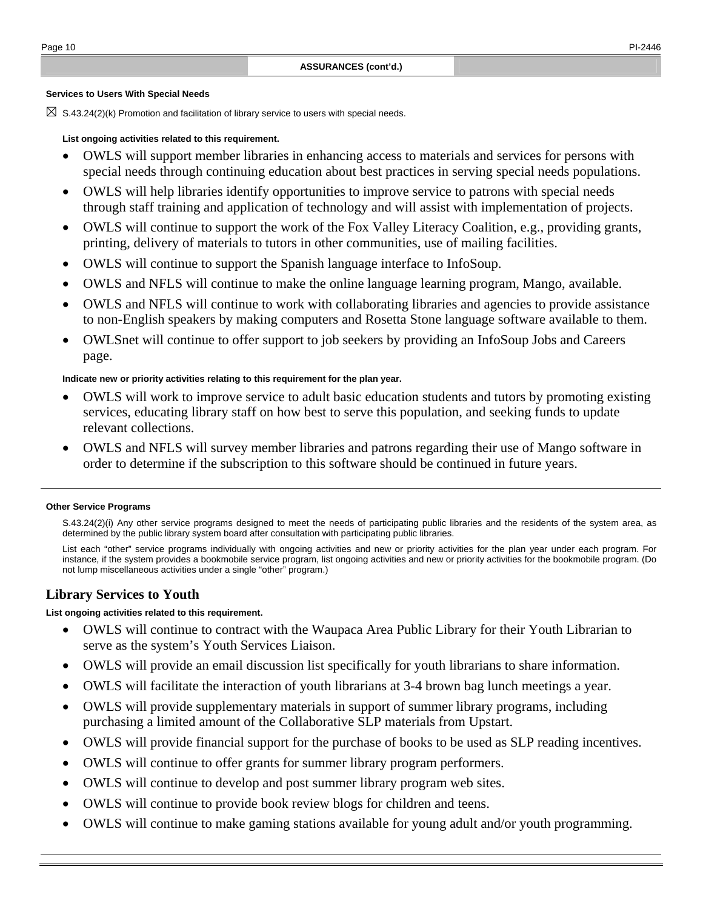#### **Services to Users With Special Needs**

⊠ S.43.24(2)(k) Promotion and facilitation of library service to users with special needs.

#### **List ongoing activities related to this requirement.**

- OWLS will support member libraries in enhancing access to materials and services for persons with special needs through continuing education about best practices in serving special needs populations.
- OWLS will help libraries identify opportunities to improve service to patrons with special needs through staff training and application of technology and will assist with implementation of projects.
- OWLS will continue to support the work of the Fox Valley Literacy Coalition, e.g., providing grants, printing, delivery of materials to tutors in other communities, use of mailing facilities.
- OWLS will continue to support the Spanish language interface to InfoSoup.
- OWLS and NFLS will continue to make the online language learning program, Mango, available.
- OWLS and NFLS will continue to work with collaborating libraries and agencies to provide assistance to non-English speakers by making computers and Rosetta Stone language software available to them.
- OWLSnet will continue to offer support to job seekers by providing an InfoSoup Jobs and Careers page.

#### **Indicate new or priority activities relating to this requirement for the plan year.**

- OWLS will work to improve service to adult basic education students and tutors by promoting existing services, educating library staff on how best to serve this population, and seeking funds to update relevant collections.
- OWLS and NFLS will survey member libraries and patrons regarding their use of Mango software in order to determine if the subscription to this software should be continued in future years.

#### **Other Service Programs**

 S.43.24(2)(i) Any other service programs designed to meet the needs of participating public libraries and the residents of the system area, as determined by the public library system board after consultation with participating public libraries.

 List each "other" service programs individually with ongoing activities and new or priority activities for the plan year under each program. For instance, if the system provides a bookmobile service program, list ongoing activities and new or priority activities for the bookmobile program. (Do not lump miscellaneous activities under a single "other" program.)

### **Library Services to Youth**

#### **List ongoing activities related to this requirement.**

- OWLS will continue to contract with the Waupaca Area Public Library for their Youth Librarian to serve as the system's Youth Services Liaison.
- OWLS will provide an email discussion list specifically for youth librarians to share information.
- OWLS will facilitate the interaction of youth librarians at 3-4 brown bag lunch meetings a year.
- OWLS will provide supplementary materials in support of summer library programs, including purchasing a limited amount of the Collaborative SLP materials from Upstart.
- OWLS will provide financial support for the purchase of books to be used as SLP reading incentives.
- OWLS will continue to offer grants for summer library program performers.
- OWLS will continue to develop and post summer library program web sites.
- OWLS will continue to provide book review blogs for children and teens.
- OWLS will continue to make gaming stations available for young adult and/or youth programming.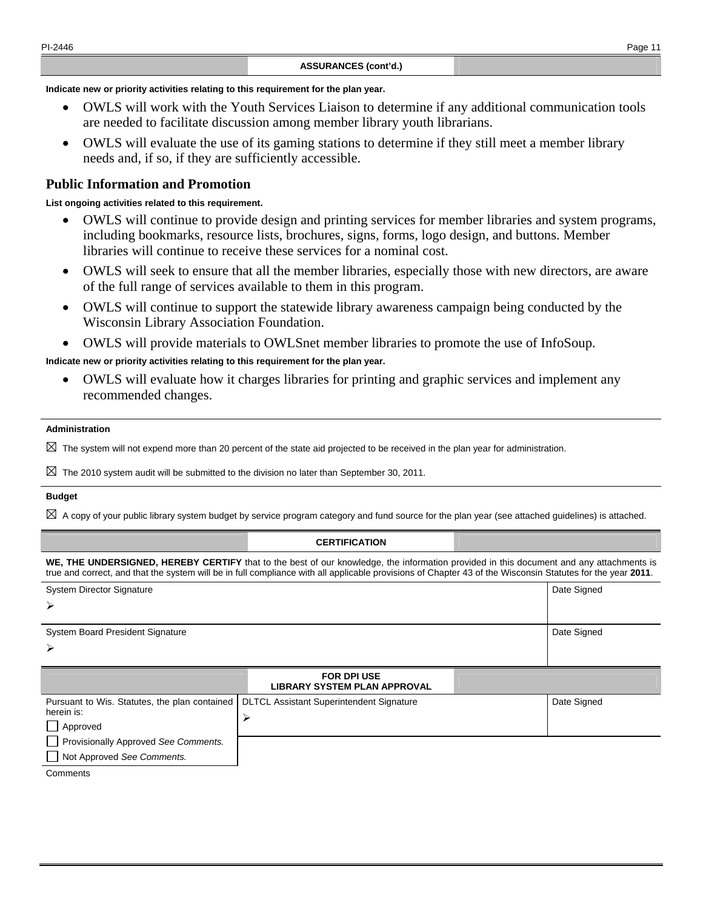**Indicate new or priority activities relating to this requirement for the plan year.** 

- OWLS will work with the Youth Services Liaison to determine if any additional communication tools are needed to facilitate discussion among member library youth librarians.
- OWLS will evaluate the use of its gaming stations to determine if they still meet a member library needs and, if so, if they are sufficiently accessible.

### **Public Information and Promotion**

#### **List ongoing activities related to this requirement.**

- OWLS will continue to provide design and printing services for member libraries and system programs, including bookmarks, resource lists, brochures, signs, forms, logo design, and buttons. Member libraries will continue to receive these services for a nominal cost.
- OWLS will seek to ensure that all the member libraries, especially those with new directors, are aware of the full range of services available to them in this program.
- OWLS will continue to support the statewide library awareness campaign being conducted by the Wisconsin Library Association Foundation.
- OWLS will provide materials to OWLSnet member libraries to promote the use of InfoSoup.

#### **Indicate new or priority activities relating to this requirement for the plan year.**

• OWLS will evaluate how it charges libraries for printing and graphic services and implement any recommended changes.

#### **Administration**

 $\boxtimes$  The system will not expend more than 20 percent of the state aid projected to be received in the plan year for administration.

 $\boxtimes$  The 2010 system audit will be submitted to the division no later than September 30, 2011.

#### **Budget**

 $\boxtimes$  A copy of your public library system budget by service program category and fund source for the plan year (see attached guidelines) is attached.

#### **CERTIFICATION**

**WE, THE UNDERSIGNED, HEREBY CERTIFY** that to the best of our knowledge, the information provided in this document and any attachments is true and correct, and that the system will be in full compliance with all applicable provisions of Chapter 43 of the Wisconsin Statutes for the year **2011**.

| <b>System Director Signature</b>                            |                                                                          | Date Signed |
|-------------------------------------------------------------|--------------------------------------------------------------------------|-------------|
| ➤                                                           |                                                                          |             |
| <b>System Board President Signature</b>                     |                                                                          | Date Signed |
| ➤                                                           |                                                                          |             |
|                                                             | <b>FOR DPI USE</b><br><b>LIBRARY SYSTEM PLAN APPROVAL</b>                |             |
| Pursuant to Wis. Statutes, the plan contained<br>herein is: | <b>DLTCL Assistant Superintendent Signature</b><br>$\blacktriangleright$ | Date Signed |
| $\Box$ Approved                                             |                                                                          |             |
| Provisionally Approved See Comments.                        |                                                                          |             |
| Not Approved See Comments.                                  |                                                                          |             |
| Comments                                                    |                                                                          |             |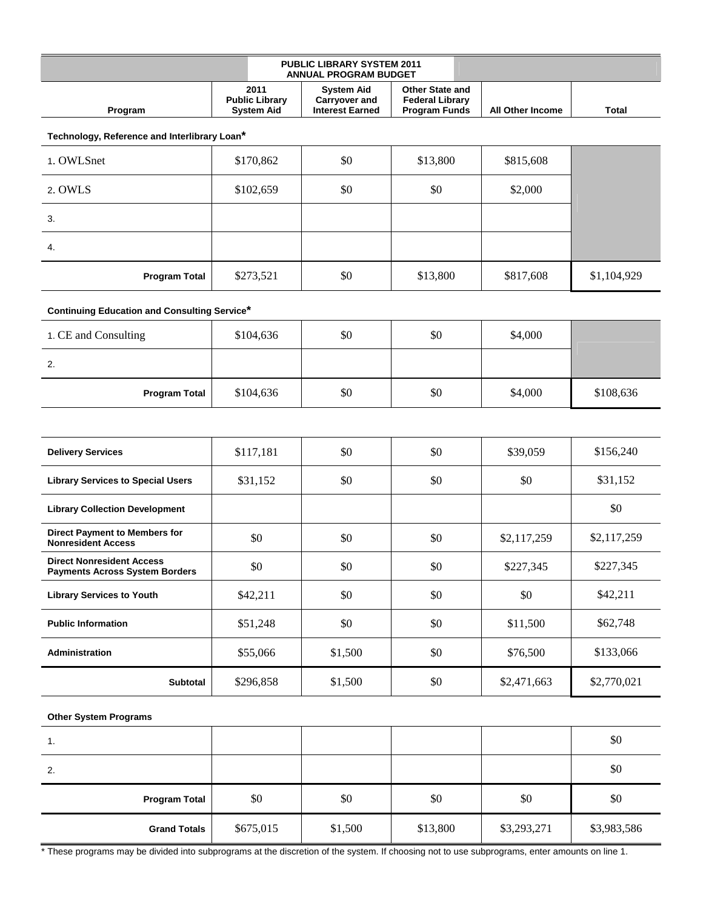|         |                                                    | <b>PUBLIC LIBRARY SYSTEM 2011</b><br><b>ANNUAL PROGRAM BUDGET</b> |                                                                          |                         |              |
|---------|----------------------------------------------------|-------------------------------------------------------------------|--------------------------------------------------------------------------|-------------------------|--------------|
| Program | 2011<br><b>Public Library</b><br><b>System Aid</b> | Svstem Aid<br>Carryover and<br><b>Interest Earned</b>             | <b>Other State and</b><br><b>Federal Library</b><br><b>Program Funds</b> | <b>All Other Income</b> | <b>Total</b> |

**Technology, Reference and Interlibrary Loan\***

| 1. OWLSnet           | \$170,862 | \$0 | \$13,800 | \$815,608 |             |
|----------------------|-----------|-----|----------|-----------|-------------|
| 2. OWLS              | \$102,659 | \$0 | \$0      | \$2,000   |             |
| 3.                   |           |     |          |           |             |
| 4.                   |           |     |          |           |             |
| <b>Program Total</b> | \$273,521 | \$0 | \$13,800 | \$817,608 | \$1,104,929 |

#### **Continuing Education and Consulting Service\***

| 1. CE and Consulting | \$104,636 | \$0 | \$0 | \$4,000 |           |
|----------------------|-----------|-----|-----|---------|-----------|
| 2.                   |           |     |     |         |           |
| <b>Program Total</b> | \$104,636 | \$0 | \$0 | \$4,000 | \$108,636 |

| <b>Delivery Services</b>                                                  | \$117,181 | \$0     | \$0 | \$39,059    | \$156,240   |
|---------------------------------------------------------------------------|-----------|---------|-----|-------------|-------------|
| <b>Library Services to Special Users</b>                                  | \$31,152  | \$0     | \$0 | \$0         | \$31,152    |
| <b>Library Collection Development</b>                                     |           |         |     |             | \$0         |
| <b>Direct Payment to Members for</b><br><b>Nonresident Access</b>         | \$0       | \$0     | \$0 | \$2,117,259 | \$2,117,259 |
| <b>Direct Nonresident Access</b><br><b>Payments Across System Borders</b> | \$0       | \$0     | \$0 | \$227,345   | \$227,345   |
| <b>Library Services to Youth</b>                                          | \$42,211  | \$0     | \$0 | \$0         | \$42,211    |
| <b>Public Information</b>                                                 | \$51,248  | \$0     | \$0 | \$11,500    | \$62,748    |
| <b>Administration</b>                                                     | \$55,066  | \$1,500 | \$0 | \$76,500    | \$133,066   |
| <b>Subtotal</b>                                                           | \$296,858 | \$1,500 | \$0 | \$2,471,663 | \$2,770,021 |

#### **Other System Programs**

| 1.                   |           |         |          |             | \$0         |
|----------------------|-----------|---------|----------|-------------|-------------|
| 2.                   |           |         |          |             | \$0         |
| <b>Program Total</b> | \$0       | \$0     | \$0      | \$0         | \$0         |
| <b>Grand Totals</b>  | \$675,015 | \$1,500 | \$13,800 | \$3,293,271 | \$3,983,586 |

\* These programs may be divided into subprograms at the discretion of the system. If choosing not to use subprograms, enter amounts on line 1.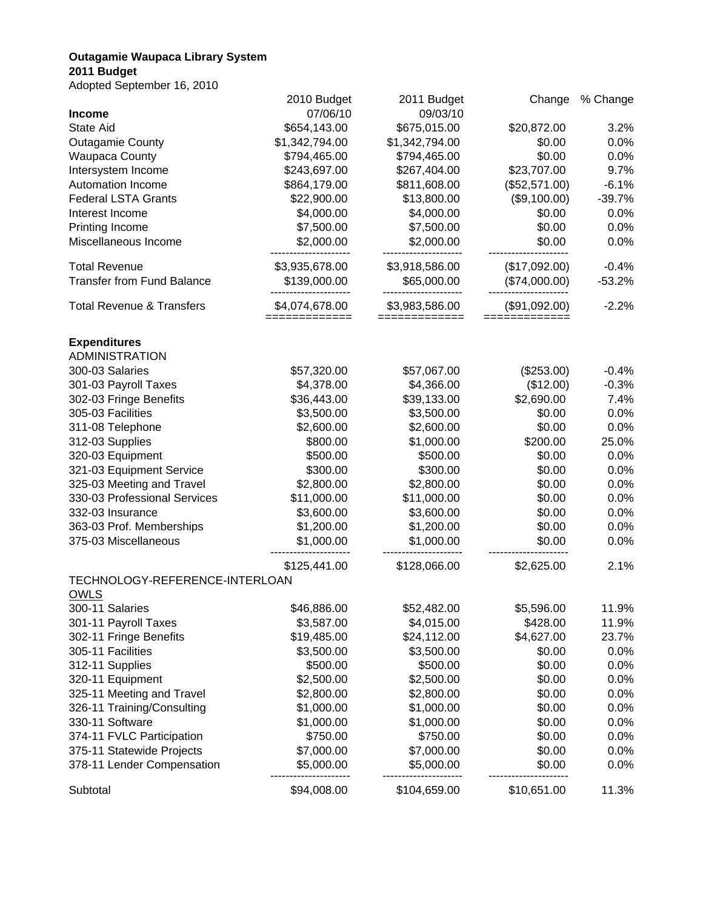# **Outagamie Waupaca Library System**

# **2011 Budget**

Adopted September 16, 2010

| Adopted Oeptemper 10, 2010           |                               |                                 |                                |          |
|--------------------------------------|-------------------------------|---------------------------------|--------------------------------|----------|
|                                      | 2010 Budget                   | 2011 Budget                     | Change                         | % Change |
| <b>Income</b>                        | 07/06/10                      | 09/03/10                        |                                |          |
| <b>State Aid</b>                     | \$654,143.00                  | \$675,015.00                    | \$20,872.00                    | 3.2%     |
| <b>Outagamie County</b>              | \$1,342,794.00                | \$1,342,794.00                  | \$0.00                         | 0.0%     |
| <b>Waupaca County</b>                | \$794,465.00                  | \$794,465.00                    | \$0.00                         | 0.0%     |
| Intersystem Income                   | \$243,697.00                  | \$267,404.00                    | \$23,707.00                    | 9.7%     |
| Automation Income                    | \$864,179.00                  | \$811,608.00                    | (\$52,571.00)                  | $-6.1%$  |
| <b>Federal LSTA Grants</b>           | \$22,900.00                   | \$13,800.00                     | (\$9,100.00)                   | $-39.7%$ |
| Interest Income                      | \$4,000.00                    | \$4,000.00                      | \$0.00                         | 0.0%     |
| Printing Income                      | \$7,500.00                    | \$7,500.00                      | \$0.00                         | 0.0%     |
| Miscellaneous Income                 | \$2,000.00                    | \$2,000.00                      | \$0.00                         | 0.0%     |
| <b>Total Revenue</b>                 | \$3,935,678.00                | \$3,918,586.00                  | (\$17,092.00)                  | $-0.4%$  |
| <b>Transfer from Fund Balance</b>    | \$139,000.00                  | \$65,000.00                     | (\$74,000.00)                  | $-53.2%$ |
| <b>Total Revenue &amp; Transfers</b> | \$4,074,678.00<br>=========== | \$3,983,586.00<br>============= | (\$91,092.00)<br>============= | $-2.2%$  |
| <b>Expenditures</b>                  |                               |                                 |                                |          |
| <b>ADMINISTRATION</b>                |                               |                                 |                                |          |
| 300-03 Salaries                      | \$57,320.00                   | \$57,067.00                     | (\$253.00)                     | $-0.4%$  |
| 301-03 Payroll Taxes                 | \$4,378.00                    | \$4,366.00                      | (\$12.00)                      | $-0.3%$  |
| 302-03 Fringe Benefits               | \$36,443.00                   | \$39,133.00                     | \$2,690.00                     | 7.4%     |
| 305-03 Facilities                    | \$3,500.00                    | \$3,500.00                      | \$0.00                         | 0.0%     |
| 311-08 Telephone                     | \$2,600.00                    | \$2,600.00                      | \$0.00                         | 0.0%     |
| 312-03 Supplies                      | \$800.00                      | \$1,000.00                      | \$200.00                       | 25.0%    |
| 320-03 Equipment                     | \$500.00                      | \$500.00                        | \$0.00                         | 0.0%     |
| 321-03 Equipment Service             | \$300.00                      | \$300.00                        | \$0.00                         | 0.0%     |
| 325-03 Meeting and Travel            | \$2,800.00                    | \$2,800.00                      | \$0.00                         | 0.0%     |
| 330-03 Professional Services         | \$11,000.00                   | \$11,000.00                     | \$0.00                         | 0.0%     |
| 332-03 Insurance                     | \$3,600.00                    | \$3,600.00                      | \$0.00                         | 0.0%     |
| 363-03 Prof. Memberships             | \$1,200.00                    | \$1,200.00                      | \$0.00                         | 0.0%     |
| 375-03 Miscellaneous                 | \$1,000.00                    | \$1,000.00                      | \$0.00                         | 0.0%     |
|                                      | \$125,441.00                  | \$128,066.00                    | \$2,625.00                     | 2.1%     |
| TECHNOLOGY-REFERENCE-INTERLOAN       |                               |                                 |                                |          |
| <b>OWLS</b>                          |                               |                                 |                                |          |
| 300-11 Salaries                      | \$46,886.00                   | \$52,482.00                     | \$5,596.00                     | 11.9%    |
| 301-11 Payroll Taxes                 | \$3,587.00                    | \$4,015.00                      | \$428.00                       | 11.9%    |
| 302-11 Fringe Benefits               | \$19,485.00                   | \$24,112.00                     | \$4,627.00                     | 23.7%    |
| 305-11 Facilities                    | \$3,500.00                    | \$3,500.00                      | \$0.00                         | 0.0%     |
| 312-11 Supplies                      | \$500.00                      | \$500.00                        | \$0.00                         | 0.0%     |
| 320-11 Equipment                     | \$2,500.00                    | \$2,500.00                      | \$0.00                         | 0.0%     |
|                                      |                               |                                 |                                |          |
| 325-11 Meeting and Travel            | \$2,800.00                    | \$2,800.00                      | \$0.00                         | 0.0%     |
| 326-11 Training/Consulting           | \$1,000.00                    | \$1,000.00                      | \$0.00                         | 0.0%     |
| 330-11 Software                      | \$1,000.00                    | \$1,000.00                      | \$0.00                         | 0.0%     |
| 374-11 FVLC Participation            | \$750.00                      | \$750.00                        | \$0.00                         | 0.0%     |
| 375-11 Statewide Projects            | \$7,000.00                    | \$7,000.00                      | \$0.00                         | 0.0%     |
| 378-11 Lender Compensation           | \$5,000.00                    | \$5,000.00                      | \$0.00                         | 0.0%     |
| Subtotal                             | \$94,008.00                   | \$104,659.00                    | \$10,651.00                    | 11.3%    |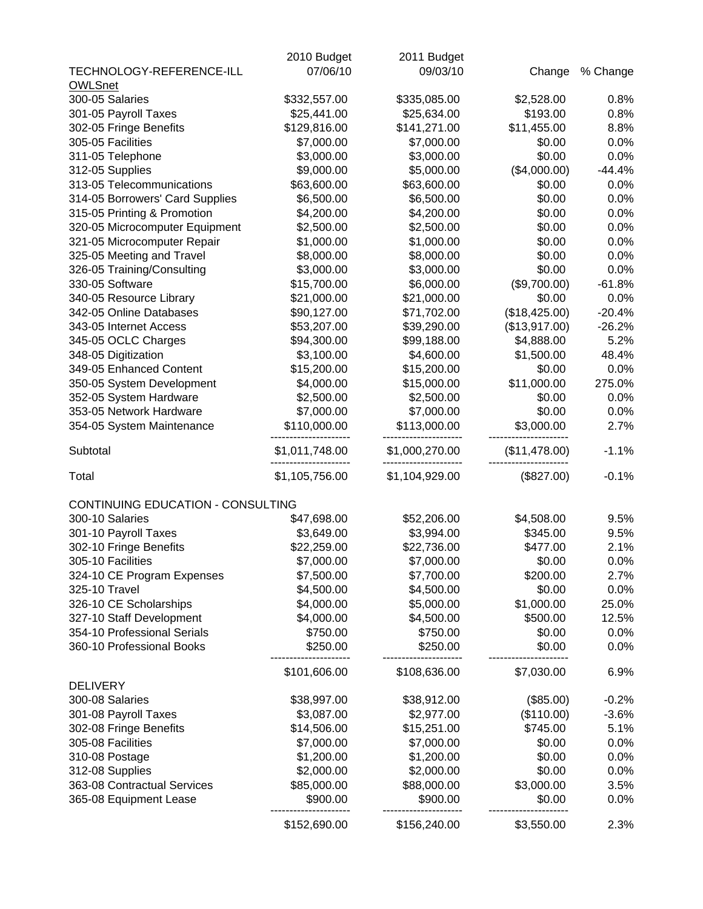|                                   | 2010 Budget    | 2011 Budget    |               |          |
|-----------------------------------|----------------|----------------|---------------|----------|
| TECHNOLOGY-REFERENCE-ILL          | 07/06/10       | 09/03/10       | Change        | % Change |
| <b>OWLSnet</b>                    |                |                |               |          |
| 300-05 Salaries                   | \$332,557.00   | \$335,085.00   | \$2,528.00    | 0.8%     |
| 301-05 Payroll Taxes              | \$25,441.00    | \$25,634.00    | \$193.00      | 0.8%     |
| 302-05 Fringe Benefits            | \$129,816.00   | \$141,271.00   | \$11,455.00   | 8.8%     |
| 305-05 Facilities                 | \$7,000.00     | \$7,000.00     | \$0.00        | 0.0%     |
| 311-05 Telephone                  | \$3,000.00     | \$3,000.00     | \$0.00        | 0.0%     |
| 312-05 Supplies                   | \$9,000.00     | \$5,000.00     | (\$4,000.00)  | $-44.4%$ |
| 313-05 Telecommunications         | \$63,600.00    | \$63,600.00    | \$0.00        | 0.0%     |
| 314-05 Borrowers' Card Supplies   | \$6,500.00     | \$6,500.00     | \$0.00        | 0.0%     |
| 315-05 Printing & Promotion       | \$4,200.00     | \$4,200.00     | \$0.00        | 0.0%     |
| 320-05 Microcomputer Equipment    | \$2,500.00     | \$2,500.00     | \$0.00        | 0.0%     |
| 321-05 Microcomputer Repair       | \$1,000.00     | \$1,000.00     | \$0.00        | 0.0%     |
| 325-05 Meeting and Travel         | \$8,000.00     | \$8,000.00     | \$0.00        | 0.0%     |
| 326-05 Training/Consulting        | \$3,000.00     | \$3,000.00     | \$0.00        | 0.0%     |
| 330-05 Software                   | \$15,700.00    | \$6,000.00     | (\$9,700.00)  | $-61.8%$ |
| 340-05 Resource Library           | \$21,000.00    | \$21,000.00    | \$0.00        | 0.0%     |
| 342-05 Online Databases           | \$90,127.00    | \$71,702.00    | (\$18,425.00) | $-20.4%$ |
| 343-05 Internet Access            | \$53,207.00    | \$39,290.00    | (\$13,917.00) | $-26.2%$ |
| 345-05 OCLC Charges               | \$94,300.00    | \$99,188.00    | \$4,888.00    | 5.2%     |
| 348-05 Digitization               | \$3,100.00     | \$4,600.00     | \$1,500.00    | 48.4%    |
| 349-05 Enhanced Content           | \$15,200.00    | \$15,200.00    | \$0.00        | 0.0%     |
| 350-05 System Development         | \$4,000.00     | \$15,000.00    | \$11,000.00   | 275.0%   |
| 352-05 System Hardware            | \$2,500.00     | \$2,500.00     | \$0.00        | 0.0%     |
| 353-05 Network Hardware           | \$7,000.00     | \$7,000.00     | \$0.00        | 0.0%     |
| 354-05 System Maintenance         | \$110,000.00   | \$113,000.00   | \$3,000.00    | 2.7%     |
|                                   |                |                |               |          |
| Subtotal                          | \$1,011,748.00 | \$1,000,270.00 | (\$11,478.00) | $-1.1%$  |
| Total                             | \$1,105,756.00 | \$1,104,929.00 | (\$827.00)    | $-0.1%$  |
| CONTINUING EDUCATION - CONSULTING |                |                |               |          |
| 300-10 Salaries                   | \$47,698.00    | \$52,206.00    | \$4,508.00    | 9.5%     |
| 301-10 Payroll Taxes              | \$3,649.00     | \$3,994.00     | \$345.00      | 9.5%     |
| 302-10 Fringe Benefits            | \$22,259.00    | \$22,736.00    | \$477.00      | 2.1%     |
| 305-10 Facilities                 | \$7,000.00     | \$7,000.00     | \$0.00        | 0.0%     |
| 324-10 CE Program Expenses        | \$7,500.00     | \$7,700.00     | \$200.00      | 2.7%     |
| 325-10 Travel                     | \$4,500.00     | \$4,500.00     | \$0.00        | 0.0%     |
| 326-10 CE Scholarships            | \$4,000.00     | \$5,000.00     | \$1,000.00    | 25.0%    |
| 327-10 Staff Development          | \$4,000.00     | \$4,500.00     | \$500.00      | 12.5%    |
| 354-10 Professional Serials       | \$750.00       | \$750.00       | \$0.00        | 0.0%     |
| 360-10 Professional Books         | \$250.00       | \$250.00       | \$0.00        | 0.0%     |
|                                   | \$101,606.00   | \$108,636.00   | \$7,030.00    | 6.9%     |
| <b>DELIVERY</b>                   |                |                |               |          |
| 300-08 Salaries                   | \$38,997.00    | \$38,912.00    | (\$85.00)     | $-0.2%$  |
| 301-08 Payroll Taxes              | \$3,087.00     | \$2,977.00     | (\$110.00)    | $-3.6%$  |
| 302-08 Fringe Benefits            | \$14,506.00    | \$15,251.00    | \$745.00      | 5.1%     |
| 305-08 Facilities                 | \$7,000.00     | \$7,000.00     | \$0.00        | 0.0%     |
| 310-08 Postage                    | \$1,200.00     | \$1,200.00     | \$0.00        | 0.0%     |
| 312-08 Supplies                   | \$2,000.00     | \$2,000.00     | \$0.00        | 0.0%     |
| 363-08 Contractual Services       | \$85,000.00    | \$88,000.00    | \$3,000.00    | 3.5%     |
| 365-08 Equipment Lease            | \$900.00       | \$900.00       | \$0.00        | 0.0%     |
|                                   | \$152,690.00   | \$156,240.00   | \$3,550.00    | 2.3%     |
|                                   |                |                |               |          |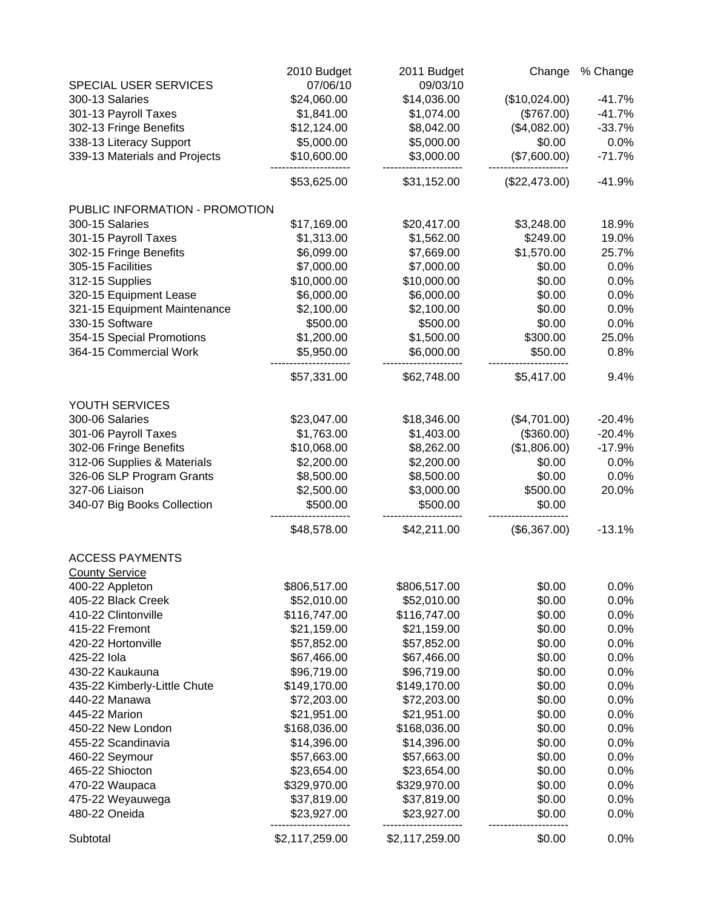| SPECIAL USER SERVICES          | 2010 Budget<br>07/06/10 | 2011 Budget<br>09/03/10 | Change        | % Change |
|--------------------------------|-------------------------|-------------------------|---------------|----------|
| 300-13 Salaries                | \$24,060.00             | \$14,036.00             | (\$10,024.00) | $-41.7%$ |
| 301-13 Payroll Taxes           | \$1,841.00              | \$1,074.00              | (\$767.00)    | $-41.7%$ |
| 302-13 Fringe Benefits         | \$12,124.00             | \$8,042.00              | (\$4,082.00)  | $-33.7%$ |
| 338-13 Literacy Support        | \$5,000.00              | \$5,000.00              | \$0.00        | 0.0%     |
| 339-13 Materials and Projects  | \$10,600.00             | \$3,000.00              | (\$7,600.00)  | $-71.7%$ |
|                                | \$53,625.00             | \$31,152.00             | (\$22,473.00) | $-41.9%$ |
|                                |                         |                         |               |          |
| PUBLIC INFORMATION - PROMOTION |                         |                         |               |          |
| 300-15 Salaries                | \$17,169.00             | \$20,417.00             | \$3,248.00    | 18.9%    |
| 301-15 Payroll Taxes           | \$1,313.00              | \$1,562.00              | \$249.00      | 19.0%    |
| 302-15 Fringe Benefits         | \$6,099.00              | \$7,669.00              | \$1,570.00    | 25.7%    |
| 305-15 Facilities              | \$7,000.00              | \$7,000.00              | \$0.00        | 0.0%     |
| 312-15 Supplies                | \$10,000.00             | \$10,000.00             | \$0.00        | 0.0%     |
| 320-15 Equipment Lease         | \$6,000.00              | \$6,000.00              | \$0.00        | 0.0%     |
| 321-15 Equipment Maintenance   | \$2,100.00              | \$2,100.00              | \$0.00        | 0.0%     |
| 330-15 Software                | \$500.00                | \$500.00                | \$0.00        | 0.0%     |
| 354-15 Special Promotions      | \$1,200.00              | \$1,500.00              | \$300.00      | 25.0%    |
| 364-15 Commercial Work         | \$5,950.00              | \$6,000.00              | \$50.00       | 0.8%     |
|                                | \$57,331.00             | \$62,748.00             | \$5,417.00    | 9.4%     |
| YOUTH SERVICES                 |                         |                         |               |          |
| 300-06 Salaries                | \$23,047.00             | \$18,346.00             | (\$4,701.00)  | $-20.4%$ |
| 301-06 Payroll Taxes           | \$1,763.00              | \$1,403.00              | (\$360.00)    | $-20.4%$ |
| 302-06 Fringe Benefits         | \$10,068.00             | \$8,262.00              | (\$1,806.00)  | $-17.9%$ |
| 312-06 Supplies & Materials    | \$2,200.00              | \$2,200.00              | \$0.00        | 0.0%     |
| 326-06 SLP Program Grants      | \$8,500.00              | \$8,500.00              | \$0.00        | 0.0%     |
| 327-06 Liaison                 | \$2,500.00              | \$3,000.00              | \$500.00      | 20.0%    |
| 340-07 Big Books Collection    | \$500.00                | \$500.00                | \$0.00        |          |
|                                | \$48,578.00             | \$42,211.00             | (\$6,367.00)  | $-13.1%$ |
| <b>ACCESS PAYMENTS</b>         |                         |                         |               |          |
| <b>County Service</b>          |                         |                         |               |          |
| 400-22 Appleton                | \$806,517.00            | \$806,517.00            | \$0.00        | 0.0%     |
| 405-22 Black Creek             | \$52,010.00             | \$52,010.00             | \$0.00        | 0.0%     |
| 410-22 Clintonville            | \$116,747.00            | \$116,747.00            | \$0.00        | 0.0%     |
| 415-22 Fremont                 | \$21,159.00             | \$21,159.00             | \$0.00        | 0.0%     |
| 420-22 Hortonville             | \$57,852.00             | \$57,852.00             | \$0.00        | 0.0%     |
| 425-22 lola                    | \$67,466.00             | \$67,466.00             | \$0.00        | 0.0%     |
| 430-22 Kaukauna                | \$96,719.00             | \$96,719.00             | \$0.00        | 0.0%     |
| 435-22 Kimberly-Little Chute   | \$149,170.00            | \$149,170.00            | \$0.00        | 0.0%     |
| 440-22 Manawa                  | \$72,203.00             | \$72,203.00             | \$0.00        | 0.0%     |
| 445-22 Marion                  | \$21,951.00             | \$21,951.00             | \$0.00        | 0.0%     |
| 450-22 New London              | \$168,036.00            | \$168,036.00            | \$0.00        | 0.0%     |
| 455-22 Scandinavia             | \$14,396.00             | \$14,396.00             | \$0.00        | 0.0%     |
| 460-22 Seymour                 | \$57,663.00             | \$57,663.00             | \$0.00        | 0.0%     |
| 465-22 Shiocton                | \$23,654.00             | \$23,654.00             | \$0.00        | 0.0%     |
| 470-22 Waupaca                 | \$329,970.00            | \$329,970.00            | \$0.00        | 0.0%     |
| 475-22 Weyauwega               | \$37,819.00             | \$37,819.00             | \$0.00        | 0.0%     |
| 480-22 Oneida                  | \$23,927.00             | \$23,927.00             | \$0.00        | 0.0%     |
| Subtotal                       | \$2,117,259.00          | \$2,117,259.00          | \$0.00        | 0.0%     |